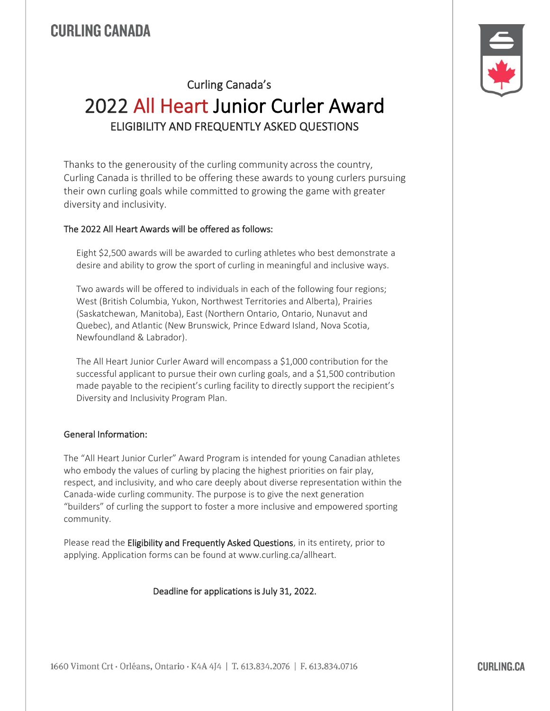# **CURLING CANADA**

# Curling Canada's 2022 All Heart Junior Curler Award ELIGIBILITY AND FREQUENTLY ASKED QUESTIONS

Thanks to the generousity of the curling community across the country, Curling Canada is thrilled to be offering these awards to young curlers pursuing their own curling goals while committed to growing the game with greater diversity and inclusivity.

#### The 2022 All Heart Awards will be offered as follows:

Eight \$2,500 awards will be awarded to curling athletes who best demonstrate a desire and ability to grow the sport of curling in meaningful and inclusive ways.

Two awards will be offered to individuals in each of the following four regions; West (British Columbia, Yukon, Northwest Territories and Alberta), Prairies (Saskatchewan, Manitoba), East (Northern Ontario, Ontario, Nunavut and Quebec), and Atlantic (New Brunswick, Prince Edward Island, Nova Scotia, Newfoundland & Labrador).

The All Heart Junior Curler Award will encompass a \$1,000 contribution for the successful applicant to pursue their own curling goals, and a \$1,500 contribution made payable to the recipient's curling facility to directly support the recipient's Diversity and Inclusivity Program Plan.

#### General Information:

The "All Heart Junior Curler" Award Program is intended for young Canadian athletes who embody the values of curling by placing the highest priorities on fair play, respect, and inclusivity, and who care deeply about diverse representation within the Canada-wide curling community. The purpose is to give the next generation "builders" of curling the support to foster a more inclusive and empowered sporting community.

Please read the Eligibility and Frequently Asked Questions, in its entirety, prior to applying. Application forms can be found at www.curling.ca/allheart.

#### Deadline for applications is July 31, 2022.

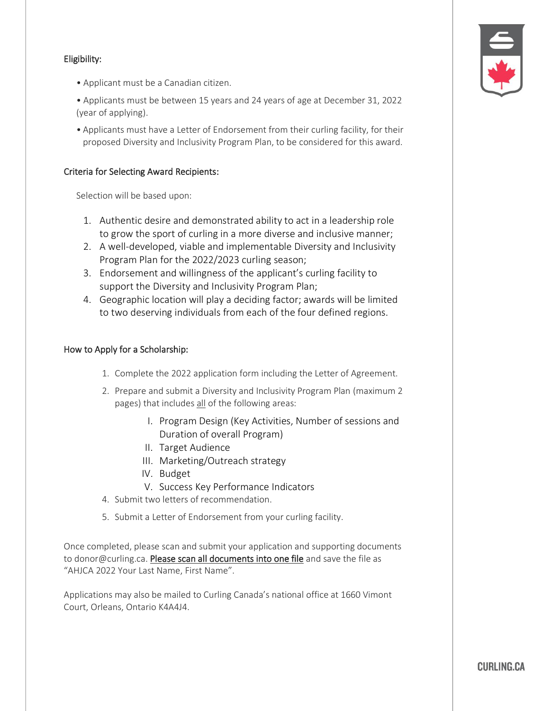## Eligibility:

- Applicant must be a Canadian citizen.
- Applicants must be between 15 years and 24 years of age at December 31, 2022 (year of applying).
- Applicants must have a Letter of Endorsement from their curling facility, for their proposed Diversity and Inclusivity Program Plan, to be considered for this award.

#### Criteria for Selecting Award Recipients:

Selection will be based upon:

- 1. Authentic desire and demonstrated ability to act in a leadership role to grow the sport of curling in a more diverse and inclusive manner;
- 2. A well-developed, viable and implementable Diversity and Inclusivity Program Plan for the 2022/2023 curling season;
- 3. Endorsement and willingness of the applicant's curling facility to support the Diversity and Inclusivity Program Plan;
- 4. Geographic location will play a deciding factor; awards will be limited to two deserving individuals from each of the four defined regions.

#### How to Apply for a Scholarship:

- 1. Complete the 2022 application form including the Letter of Agreement.
- 2. Prepare and submit a Diversity and Inclusivity Program Plan (maximum 2 pages) that includes all of the following areas:
	- I. Program Design (Key Activities, Number of sessions and Duration of overall Program)
	- II. Target Audience
	- III. Marketing/Outreach strategy
	- IV. Budget
	- V. Success Key Performance Indicators
- 4. Submit two letters of recommendation.
- 5. Submit a Letter of Endorsement from your curling facility.

Once completed, please scan and submit your application and supporting documents to donor@curling.ca. Please scan all documents into one file and save the file as "AHJCA 2022 Your Last Name, First Name".

Applications may also be mailed to Curling Canada's national office at 1660 Vimont Court, Orleans, Ontario K4A4J4.